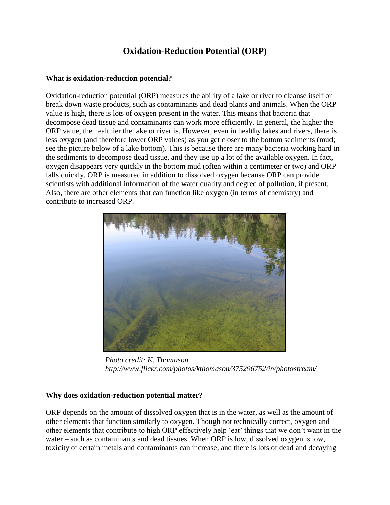# **Oxidation-Reduction Potential (ORP)**

## **What is oxidation-reduction potential?**

Oxidation-reduction potential (ORP) measures the ability of a lake or river to cleanse itself or break down waste products, such as contaminants and dead plants and animals. When the ORP value is high, there is lots of oxygen present in the water. This means that bacteria that decompose dead tissue and contaminants can work more efficiently. In general, the higher the ORP value, the healthier the lake or river is. However, even in healthy lakes and rivers, there is less oxygen (and therefore lower ORP values) as you get closer to the bottom sediments (mud; see the picture below of a lake bottom). This is because there are many bacteria working hard in the sediments to decompose dead tissue, and they use up a lot of the available oxygen. In fact, oxygen disappears very quickly in the bottom mud (often within a centimeter or two) and ORP falls quickly. ORP is measured in addition to dissolved oxygen because ORP can provide scientists with additional information of the water quality and degree of pollution, if present. Also, there are other elements that can function like oxygen (in terms of chemistry) and contribute to increased ORP.



*Photo credit: K. Thomason http://www.flickr.com/photos/kthomason/375296752/in/photostream/*

# **Why does oxidation-reduction potential matter?**

ORP depends on the amount of dissolved oxygen that is in the water, as well as the amount of other elements that function similarly to oxygen. Though not technically correct, oxygen and other elements that contribute to high ORP effectively help 'eat' things that we don't want in the water – such as contaminants and dead tissues. When ORP is low, dissolved oxygen is low, toxicity of certain metals and contaminants can increase, and there is lots of dead and decaying